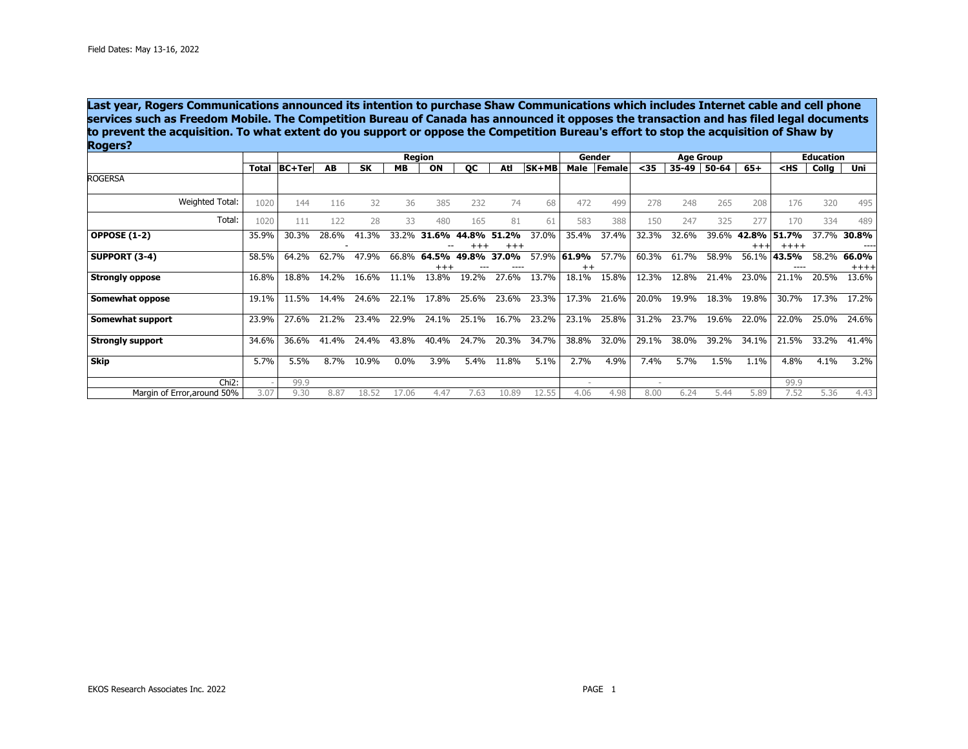**Last year, Rogers Communications announced its intention to purchase Shaw Communications which includes Internet cable and cell phone services such as Freedom Mobile. The Competition Bureau of Canada has announced it opposes the transaction and has filed legal documents to prevent the acquisition. To what extent do you support or oppose the Competition Bureau's effort to stop the acquisition of Shaw by Rogers?** 

|                             |              | Region        |       |           |           |                   |            |                       | Gender |                  | <b>Age Group</b> |        |       |       | <b>Education</b> |                                             |       |                  |
|-----------------------------|--------------|---------------|-------|-----------|-----------|-------------------|------------|-----------------------|--------|------------------|------------------|--------|-------|-------|------------------|---------------------------------------------|-------|------------------|
|                             | <b>Total</b> | <b>BC+Ter</b> | AB    | <b>SK</b> | <b>MB</b> | ON                | QC         | Atl                   | SK+MB  | Male             | Female           | $35$   | 35-49 | 50-64 | $65+$            | <hs< th=""><th>Collg</th><th>Uni</th></hs<> | Collg | Uni              |
| <b>ROGERSA</b>              |              |               |       |           |           |                   |            |                       |        |                  |                  |        |       |       |                  |                                             |       |                  |
| Weighted Total:             | 1020         | 144           | 116   | 32        | 36        | 385               | 232        | 74                    | 68     | 472              | 499              | 278    | 248   | 265   | 208              | 176                                         | 320   | 495              |
| Total:                      | 1020         | 111           | 122   | 28        | 33        | 480               | 165        | 81                    | 61     | 583              | 388              | 150    | 247   | 325   | 277              | 170                                         | 334   | 489              |
| <b>OPPOSE (1-2)</b>         | 35.9%        | 30.3%         | 28.6% | 41.3%     | 33.2%     | 31<br>.6%         | .8%<br>44. | .2%<br>51<br>$^{+++}$ | 37.0%  | 35.4%            | 37.4%            | 32.3%  | 32.6% | 39.6% | 42.8%            | 51.7%<br>$+++++$                            | 37.7% | 30.8%            |
| SUPPORT (3-4)               | 58.5%        | 64.2%         | 62.7% | 47.9%     | 66.8%     | 64.5%<br>$^{+++}$ | 49.8%      | 37.0%                 | 57.9%  | 61.9%<br>$^{++}$ | 57.7%            | 60.3%  | 61.7% | 58.9% | 56.1%            | 43.5%                                       | 58.2% | 66.0%<br>$+++++$ |
| <b>Strongly oppose</b>      | 16.8%        | 18.8%         | 14.2% | 16.6%     | 11.1%     | 13.8%             | 19.2%      | 27.6%                 | 13.7%  | 18.1%            | 15.8%            | 12.3%  | 12.8% | 21.4% | 23.0%            | 21.1%                                       | 20.5% | 13.6%            |
| Somewhat oppose             | 19.1%        | 11.5%         | 14.4% | 24.6%     | 22.1%     | 17.8%             | 25.6%      | 23.6%                 | 23.3%  | 17.3%            | 21.6%            | 20.0%  | 19.9% | 18.3% | 19.8%            | 30.7%                                       | 17.3% | 17.2%            |
| Somewhat support            | 23.9%        | 27.6%         | 21.2% | 23.4%     | 22.9%     | 24.1%             | 25.1%      | 16.7%                 | 23.2%  | 23.1%            | 25.8%            | 31.2%  | 23.7% | 19.6% | 22.0%            | 22.0%                                       | 25.0% | 24.6%            |
| <b>Strongly support</b>     | 34.6%        | 36.6%         | 41.4% | 24.4%     | 43.8%     | 40.4%             | 24.7%      | 20.3%                 | 34.7%  | 38.8%            | 32.0%            | 29.1%  | 38.0% | 39.2% | 34.1%            | 21.5%                                       | 33.2% | 41.4%            |
| <b>Skip</b>                 | 5.7%         | 5.5%          | 8.7%  | 10.9%     | $0.0\%$   | 3.9%              | 5.4%       | 11.8%                 | 5.1%   | 2.7%             | 4.9%             | 7.4%   | 5.7%  | 1.5%  | 1.1%             | 4.8%                                        | 4.1%  | 3.2%             |
| Chi <sub>2</sub> :          |              | 99.9          |       |           |           |                   |            |                       |        |                  |                  | $\sim$ |       |       |                  | 99.9                                        |       |                  |
| Margin of Error, around 50% | 3.07         | 9.30          | 8.87  | 18.52     | 17.06     | 4.47              | 7.63       | 10.89                 | 12.55  | 4.06             | 4.98             | 8.00   | 6.24  | 5.44  | 5.89             | 7.52                                        | 5.36  | 4.43             |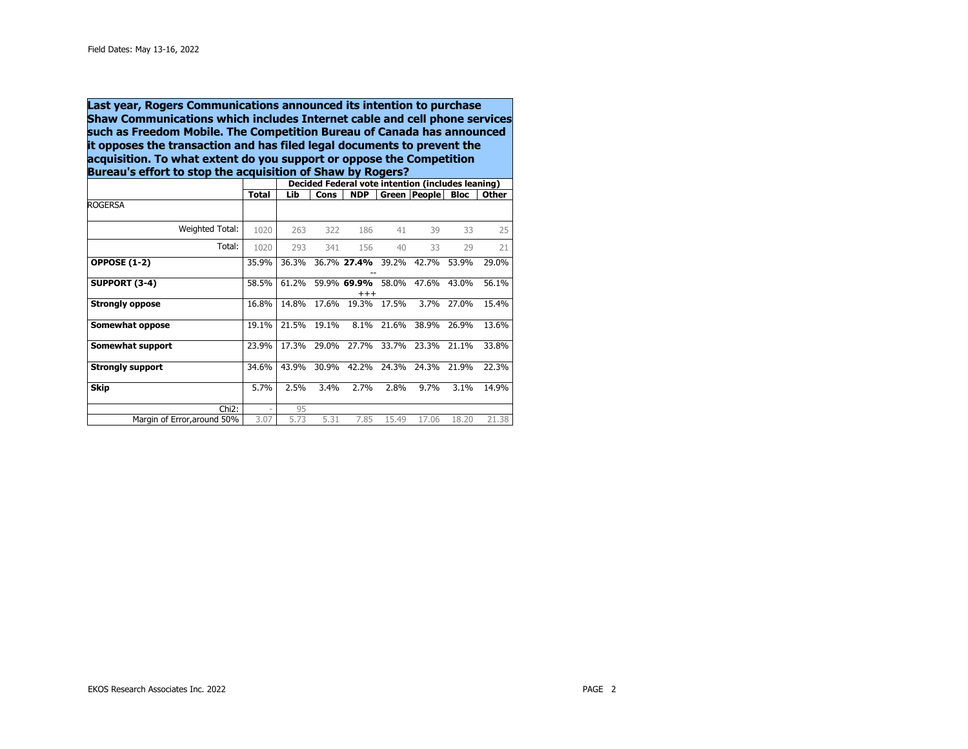**Last year, Rogers Communications announced its intention to purchase Shaw Communications which includes Internet cable and cell phone services such as Freedom Mobile. The Competition Bureau of Canada has announced it opposes the transaction and has filed legal documents to prevent the acquisition. To what extent do you support or oppose the Competition Bureau's effort to stop the acquisition of Shaw by Rogers?** 

|                             |              | Decided Federal vote intention (includes leaning) |       |                         |       |              |             |              |  |  |
|-----------------------------|--------------|---------------------------------------------------|-------|-------------------------|-------|--------------|-------------|--------------|--|--|
|                             | <b>Total</b> | Lib                                               | Cons  | <b>NDP</b>              |       | Green People | <b>Bloc</b> | <b>Other</b> |  |  |
| <b>ROGERSA</b>              |              |                                                   |       |                         |       |              |             |              |  |  |
| Weighted Total:             | 1020         | 263                                               | 322   | 186                     | 41    | 39           | 33          | 25           |  |  |
| Total:                      | 1020         | 293                                               | 341   | 156                     | 40    | 33           | 29          | 21           |  |  |
| <b>OPPOSE (1-2)</b>         | 35.9%        | 36.3%                                             |       | 36.7% 27.4%             | 39.2% | 42.7%        | 53.9%       | 29.0%        |  |  |
| SUPPORT (3-4)               | 58.5%        | 61.2%                                             |       | 59.9% 69.9%<br>$^{+++}$ | 58.0% | 47.6%        | 43.0%       | 56.1%        |  |  |
| <b>Strongly oppose</b>      | 16.8%        | 14.8%                                             | 17.6% | 19.3%                   | 17.5% | 3.7%         | 27.0%       | 15.4%        |  |  |
| Somewhat oppose             | 19.1%        | 21.5%                                             | 19.1% | 8.1%                    | 21.6% | 38.9%        | 26.9%       | 13.6%        |  |  |
| Somewhat support            | 23.9%        | 17.3%                                             | 29.0% | 27.7%                   | 33.7% | 23.3%        | 21.1%       | 33.8%        |  |  |
| <b>Strongly support</b>     | 34.6%        | 43.9%                                             | 30.9% | 42.2%                   | 24.3% | 24.3%        | 21.9%       | 22.3%        |  |  |
| <b>Skip</b>                 | 5.7%         | 2.5%                                              | 3.4%  | 2.7%                    | 2.8%  | 9.7%         | 3.1%        | 14.9%        |  |  |
| $Chi2$ :                    | ٠            | 95                                                |       |                         |       |              |             |              |  |  |
| Margin of Error, around 50% | 3.07         | 5.73                                              | 5.31  | 7.85                    | 15.49 | 17.06        | 18.20       | 21.38        |  |  |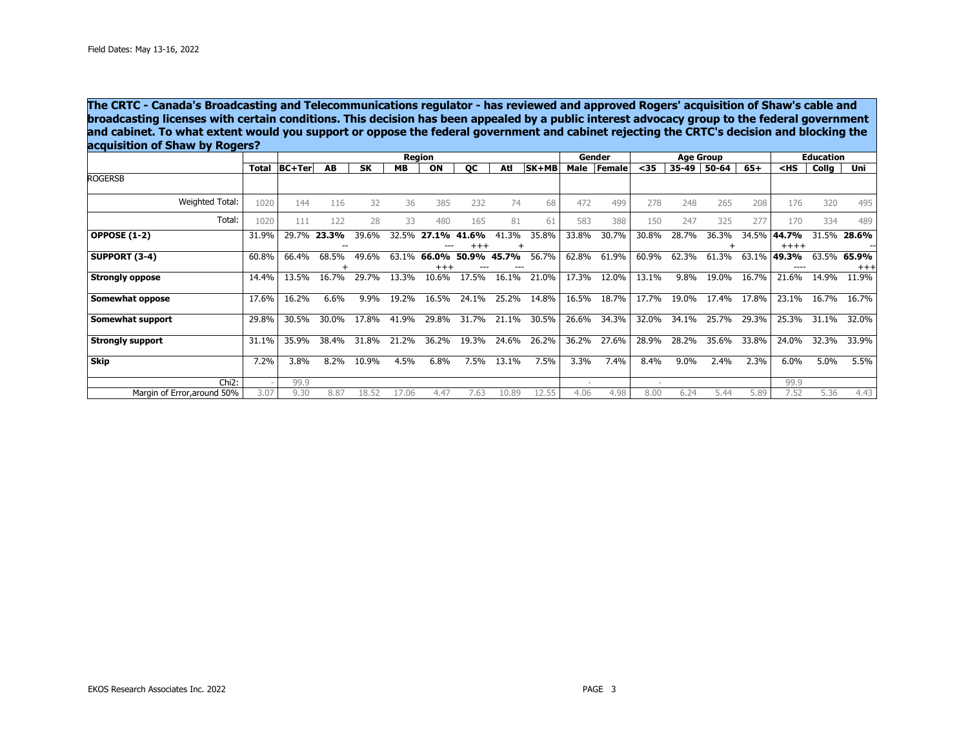**The CRTC - Canada's Broadcasting and Telecommunications regulator - has reviewed and approved Rogers' acquisition of Shaw's cable and broadcasting licenses with certain conditions. This decision has been appealed by a public interest advocacy group to the federal government and cabinet. To what extent would you support or oppose the federal government and cabinet rejecting the CRTC's decision and blocking the acquisition of Shaw by Rogers?** 

|                             |              | Region        |       |           |           |                   |       |       |       | Gender |        |        | <b>Age Group</b> | <b>Education</b> |       |                                             |       |                   |
|-----------------------------|--------------|---------------|-------|-----------|-----------|-------------------|-------|-------|-------|--------|--------|--------|------------------|------------------|-------|---------------------------------------------|-------|-------------------|
|                             | <b>Total</b> | <b>BC+Ter</b> | AB    | <b>SK</b> | <b>MB</b> | ON                | QC    | Atl   | SK+MB | Male   | Female | $35$   | 35-49            | 50-64            | $65+$ | <hs< th=""><th>Collg</th><th>Uni</th></hs<> | Collg | Uni               |
| <b>ROGERSB</b>              |              |               |       |           |           |                   |       |       |       |        |        |        |                  |                  |       |                                             |       |                   |
| Weighted Total:             | 1020         | 144           | 116   | 32        | 36        | 385               | 232   | 74    | 68    | 472    | 499    | 278    | 248              | 265              | 208   | 176                                         | 320   | 495               |
| Total:                      | 1020         | 111           | 122   | 28        | 33        | 480               | 165   | 81    | 61    | 583    | 388    | 150    | 247              | 325              | 277   | 170                                         | 334   | 489               |
| <b>OPPOSE (1-2)</b>         | 31.9%        | 29.7%         | 23.3% | 39.6%     | 32.5%     | 27.1%             | 41.6% | 41.3% | 35.8% | 33.8%  | 30.7%  | 30.8%  | 28.7%            | 36.3%            | 34.5% | 44.7%<br>$+++++$                            | 31.5% | 28.6%             |
| SUPPORT (3-4)               | 60.8%        | 66.4%         | 68.5% | 49.6%     | 63.1%     | 66.0%<br>$^{+++}$ | 50.9% | 45.7% | 56.7% | 62.8%  | 61.9%  | 60.9%  | 62.3%            | 61.3%            | 63.1% | 49.3%                                       | 63.5% | 65.9%<br>$^{+++}$ |
| <b>Strongly oppose</b>      | 14.4%        | 13.5%         | 16.7% | 29.7%     | 13.3%     | 10.6%             | 17.5% | 16.1% | 21.0% | 17.3%  | 12.0%  | 13.1%  | 9.8%             | 19.0%            | 16.7% | 21.6%                                       | 14.9% | 11.9%             |
| Somewhat oppose             | 17.6%        | 16.2%         | 6.6%  | 9.9%      | 19.2%     | 16.5%             | 24.1% | 25.2% | 14.8% | 16.5%  | 18.7%  | 17.7%  | 19.0%            | 17.4%            | 17.8% | 23.1%                                       | 16.7% | 16.7%             |
| Somewhat support            | 29.8%        | 30.5%         | 30.0% | 17.8%     | 41.9%     | 29.8%             | 31.7% | 21.1% | 30.5% | 26.6%  | 34.3%  | 32.0%  | 34.1%            | 25.7%            | 29.3% | 25.3%                                       | 31.1% | 32.0%             |
| <b>Strongly support</b>     | 31.1%        | 35.9%         | 38.4% | 31.8%     | 21.2%     | 36.2%             | 19.3% | 24.6% | 26.2% | 36.2%  | 27.6%  | 28.9%  | 28.2%            | 35.6%            | 33.8% | 24.0%                                       | 32.3% | 33.9%             |
| Skip                        | 7.2%         | 3.8%          | 8.2%  | 10.9%     | 4.5%      | 6.8%              | 7.5%  | 13.1% | 7.5%  | 3.3%   | 7.4%   | 8.4%   | 9.0%             | 2.4%             | 2.3%  | 6.0%                                        | 5.0%  | 5.5%              |
| $Chi2$ :                    |              | 99.9          |       |           |           |                   |       |       |       | $\sim$ |        | $\sim$ |                  |                  |       | 99.9                                        |       |                   |
| Margin of Error, around 50% | 3.07         | 9.30          | 8.87  | 18.52     | 17.06     | 4.47              | 7.63  | 10.89 | 12.55 | 4.06   | 4.98   | 8.00   | 6.24             | 5.44             | 5.89  | 7.52                                        | 5.36  | 4.43              |